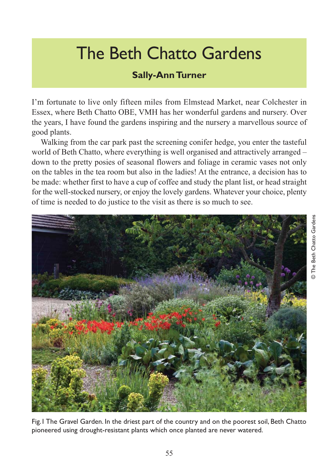## The Beth Chatto Gardens

## **Sally-Ann Turner**

I'm fortunate to live only fifteen miles from Elmstead Market, near Colchester in Essex, where Beth Chatto OBE, VMH has her wonderful gardens and nursery. Over the years, I have found the gardens inspiring and the nursery a marvellous source of good plants.

Walking from the car park past the screening conifer hedge, you enter the tasteful world of Beth Chatto, where everything is well organised and attractively arranged – down to the pretty posies of seasonal flowers and foliage in ceramic vases not only on the tables in the tea room but also in the ladies! At the entrance, a decision has to be made: whether first to have a cup of coffee and study the plant list, or head straight for the well-stocked nursery, or enjoy the lovely gardens. Whatever your choice, plenty of time is needed to do justice to the visit as there is so much to see.



Fig.1 The Gravel Garden. In the driest part of the country and on the poorest soil, Beth Chatto pioneered using drought-resistant plants which once planted are never watered.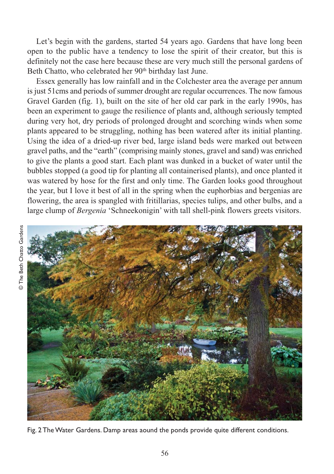Let's begin with the gardens, started 54 years ago. Gardens that have long been open to the public have a tendency to lose the spirit of their creator, but this is definitely not the case here because these are very much still the personal gardens of Beth Chatto, who celebrated her 90<sup>th</sup> birthday last June.

Essex generally has low rainfall and in the Colchester area the average per annum is just 51cms and periods of summer drought are regular occurrences. The now famous Gravel Garden (fig. 1), built on the site of her old car park in the early 1990s, has been an experiment to gauge the resilience of plants and, although seriously tempted during very hot, dry periods of prolonged drought and scorching winds when some plants appeared to be struggling, nothing has been watered after its initial planting. Using the idea of a dried-up river bed, large island beds were marked out between gravel paths, and the "earth" (comprising mainly stones, gravel and sand) was enriched to give the plants a good start. Each plant was dunked in a bucket of water until the bubbles stopped (a good tip for planting all containerised plants), and once planted it was watered by hose for the first and only time. The Garden looks good throughout the year, but I love it best of all in the spring when the euphorbias and bergenias are flowering, the area is spangled with fritillarias, species tulips, and other bulbs, and a large clump of *Bergenia* 'Schneekonigin' with tall shell-pink flowers greets visitors.



Fig. 2 The Water Gardens. Damp areas aound the ponds provide quite different conditions.

© The Beth Chatto Gardens © The Beth Chatto Gardens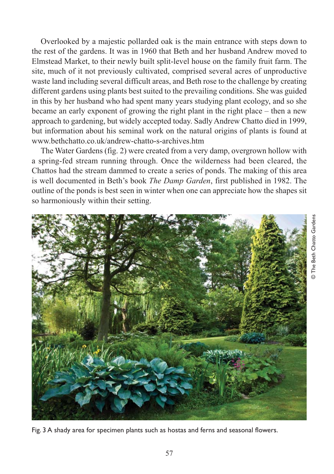Overlooked by a majestic pollarded oak is the main entrance with steps down to the rest of the gardens. It was in 1960 that Beth and her husband Andrew moved to Elmstead Market, to their newly built split-level house on the family fruit farm. The site, much of it not previously cultivated, comprised several acres of unproductive waste land including several difficult areas, and Beth rose to the challenge by creating different gardens using plants best suited to the prevailing conditions. She was guided in this by her husband who had spent many years studying plant ecology, and so she became an early exponent of growing the right plant in the right place – then a new approach to gardening, but widely accepted today. Sadly Andrew Chatto died in 1999, but information about his seminal work on the natural origins of plants is found at www.bethchatto.co.uk/andrew-chatto-s-archives.htm

The Water Gardens (fig. 2) were created from a very damp, overgrown hollow with a spring-fed stream running through. Once the wilderness had been cleared, the Chattos had the stream dammed to create a series of ponds. The making of this area is well documented in Beth's book *The Damp Garden*, first published in 1982. The outline of the ponds is best seen in winter when one can appreciate how the shapes sit so harmoniously within their setting.



Fig. 3 A shady area for specimen plants such as hostas and ferns and seasonal flowers.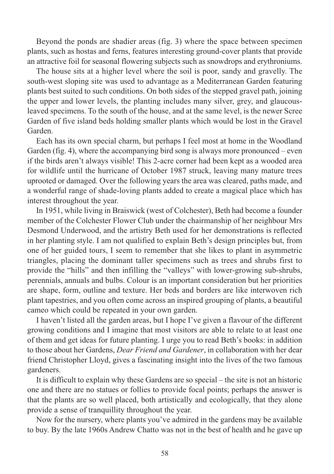Beyond the ponds are shadier areas (fig. 3) where the space between specimen plants, such as hostas and ferns, features interesting ground-cover plants that provide an attractive foil for seasonal flowering subjects such as snowdrops and erythroniums.

The house sits at a higher level where the soil is poor, sandy and gravelly. The south-west sloping site was used to advantage as a Mediterranean Garden featuring plants best suited to such conditions. On both sides of the stepped gravel path, joining the upper and lower levels, the planting includes many silver, grey, and glaucousleaved specimens. To the south of the house, and at the same level, is the newer Scree Garden of five island beds holding smaller plants which would be lost in the Gravel Garden.

Each has its own special charm, but perhaps I feel most at home in the Woodland Garden (fig. 4), where the accompanying bird song is always more pronounced – even if the birds aren't always visible! This 2-acre corner had been kept as a wooded area for wildlife until the hurricane of October 1987 struck, leaving many mature trees uprooted or damaged. Over the following years the area was cleared, paths made, and a wonderful range of shade-loving plants added to create a magical place which has interest throughout the year.

In 1951, while living in Braiswick (west of Colchester), Beth had become a founder member of the Colchester Flower Club under the chairmanship of her neighbour Mrs Desmond Underwood, and the artistry Beth used for her demonstrations is reflected in her planting style. I am not qualified to explain Beth's design principles but, from one of her guided tours, I seem to remember that she likes to plant in asymmetric triangles, placing the dominant taller specimens such as trees and shrubs first to provide the "hills" and then infilling the "valleys" with lower-growing sub-shrubs, perennials, annuals and bulbs. Colour is an important consideration but her priorities are shape, form, outline and texture. Her beds and borders are like interwoven rich plant tapestries, and you often come across an inspired grouping of plants, a beautiful cameo which could be repeated in your own garden.

I haven't listed all the garden areas, but I hope I've given a flavour of the different growing conditions and I imagine that most visitors are able to relate to at least one of them and get ideas for future planting. I urge you to read Beth's books: in addition to those about her Gardens, *Dear Friend and Gardener*, in collaboration with her dear friend Christopher Lloyd, gives a fascinating insight into the lives of the two famous gardeners.

It is difficult to explain why these Gardens are so special – the site is not an historic one and there are no statues or follies to provide focal points; perhaps the answer is that the plants are so well placed, both artistically and ecologically, that they alone provide a sense of tranquillity throughout the year.

Now for the nursery, where plants you've admired in the gardens may be available to buy. By the late 1960s Andrew Chatto was not in the best of health and he gave up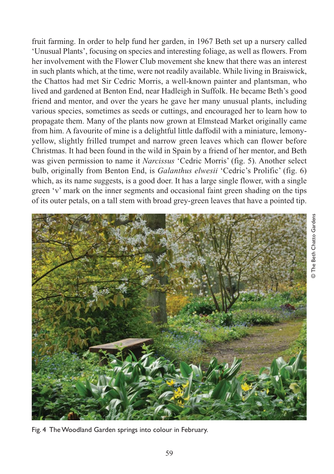fruit farming. In order to help fund her garden, in 1967 Beth set up a nursery called 'Unusual Plants', focusing on species and interesting foliage, as well as flowers. From her involvement with the Flower Club movement she knew that there was an interest in such plants which, at the time, were not readily available. While living in Braiswick, the Chattos had met Sir Cedric Morris, a well-known painter and plantsman, who lived and gardened at Benton End, near Hadleigh in Suffolk. He became Beth's good friend and mentor, and over the years he gave her many unusual plants, including various species, sometimes as seeds or cuttings, and encouraged her to learn how to propagate them. Many of the plants now grown at Elmstead Market originally came from him. A favourite of mine is a delightful little daffodil with a miniature, lemonyyellow, slightly frilled trumpet and narrow green leaves which can flower before Christmas. It had been found in the wild in Spain by a friend of her mentor, and Beth was given permission to name it *Narcissus* 'Cedric Morris' (fig. 5). Another select bulb, originally from Benton End, is *Galanthus elwesii* 'Cedric's Prolific' (fig. 6) which, as its name suggests, is a good doer. It has a large single flower, with a single green 'v' mark on the inner segments and occasional faint green shading on the tips of its outer petals, on a tall stem with broad grey-green leaves that have a pointed tip.



Fig. 4 The Woodland Garden springs into colour in February.